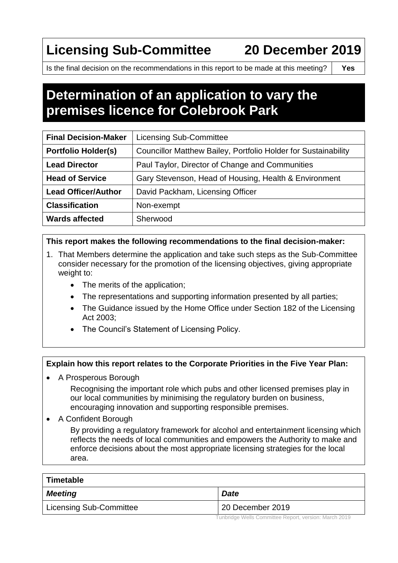# **Licensing Sub-Committee 20 December 2019**

Is the final decision on the recommendations in this report to be made at this meeting? **Yes**

## **Determination of an application to vary the premises licence for Colebrook Park**

| <b>Final Decision-Maker</b> | <b>Licensing Sub-Committee</b>                                 |  |
|-----------------------------|----------------------------------------------------------------|--|
| <b>Portfolio Holder(s)</b>  | Councillor Matthew Bailey, Portfolio Holder for Sustainability |  |
| <b>Lead Director</b>        | Paul Taylor, Director of Change and Communities                |  |
| <b>Head of Service</b>      | Gary Stevenson, Head of Housing, Health & Environment          |  |
| <b>Lead Officer/Author</b>  | David Packham, Licensing Officer                               |  |
| <b>Classification</b>       | Non-exempt                                                     |  |
| <b>Wards affected</b>       | Sherwood                                                       |  |

#### **This report makes the following recommendations to the final decision-maker:**

- 1. That Members determine the application and take such steps as the Sub-Committee consider necessary for the promotion of the licensing objectives, giving appropriate weight to:
	- The merits of the application;
	- The representations and supporting information presented by all parties;
	- The Guidance issued by the Home Office under Section 182 of the Licensing Act 2003;
	- The Council's Statement of Licensing Policy.

#### **Explain how this report relates to the Corporate Priorities in the Five Year Plan:**

A Prosperous Borough

Recognising the important role which pubs and other licensed premises play in our local communities by minimising the regulatory burden on business, encouraging innovation and supporting responsible premises.

A Confident Borough

By providing a regulatory framework for alcohol and entertainment licensing which reflects the needs of local communities and empowers the Authority to make and enforce decisions about the most appropriate licensing strategies for the local area.

| Timetable               |                  |  |
|-------------------------|------------------|--|
| <b>Meeting</b>          | <b>Date</b>      |  |
| Licensing Sub-Committee | 20 December 2019 |  |

Tunbridge Wells Committee Report, version: March 2019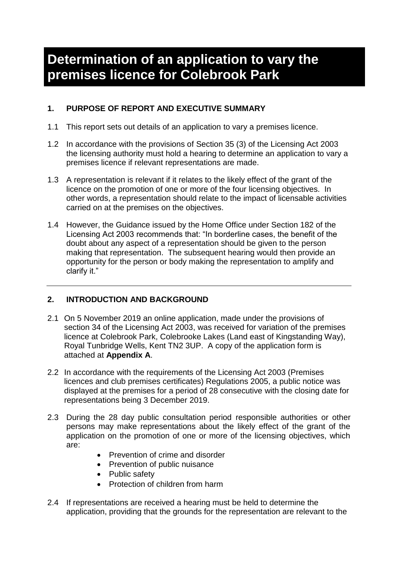### **Determination of an application to vary the premises licence for Colebrook Park**

#### **1. PURPOSE OF REPORT AND EXECUTIVE SUMMARY**

- 1.1 This report sets out details of an application to vary a premises licence.
- 1.2 In accordance with the provisions of Section 35 (3) of the Licensing Act 2003 the licensing authority must hold a hearing to determine an application to vary a premises licence if relevant representations are made.
- 1.3 A representation is relevant if it relates to the likely effect of the grant of the licence on the promotion of one or more of the four licensing objectives. In other words, a representation should relate to the impact of licensable activities carried on at the premises on the objectives.
- 1.4 However, the Guidance issued by the Home Office under Section 182 of the Licensing Act 2003 recommends that: "In borderline cases, the benefit of the doubt about any aspect of a representation should be given to the person making that representation. The subsequent hearing would then provide an opportunity for the person or body making the representation to amplify and clarify it."

#### **2. INTRODUCTION AND BACKGROUND**

- 2.1 On 5 November 2019 an online application, made under the provisions of section 34 of the Licensing Act 2003, was received for variation of the premises licence at Colebrook Park, Colebrooke Lakes (Land east of Kingstanding Way), Royal Tunbridge Wells, Kent TN2 3UP. A copy of the application form is attached at **Appendix A**.
- 2.2 In accordance with the requirements of the Licensing Act 2003 (Premises licences and club premises certificates) Regulations 2005, a public notice was displayed at the premises for a period of 28 consecutive with the closing date for representations being 3 December 2019.
- 2.3 During the 28 day public consultation period responsible authorities or other persons may make representations about the likely effect of the grant of the application on the promotion of one or more of the licensing objectives, which are:
	- Prevention of crime and disorder
	- Prevention of public nuisance
	- Public safety
	- Protection of children from harm
- 2.4 If representations are received a hearing must be held to determine the application, providing that the grounds for the representation are relevant to the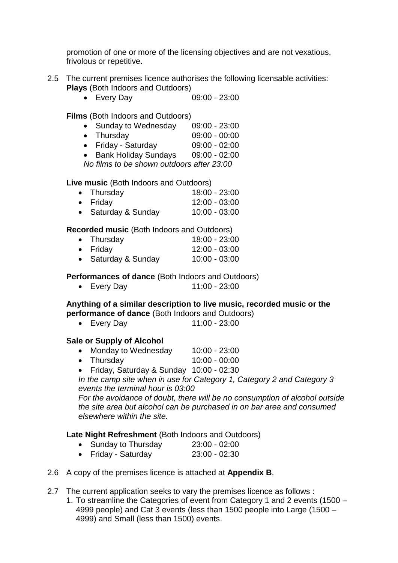promotion of one or more of the licensing objectives and are not vexatious, frivolous or repetitive.

- 2.5 The current premises licence authorises the following licensable activities: **Plays** (Both Indoors and Outdoors)
	- Every Day 09:00 23:00

**Films** (Both Indoors and Outdoors)

- Sunday to Wednesday 09:00 23:00
- Thursday 09:00 00:00
- Friday Saturday 09:00 02:00
- Bank Holiday Sundays 09:00 02:00

*No films to be shown outdoors after 23:00*

**Live music** (Both Indoors and Outdoors)

 Thursday 18:00 - 23:00 Friday 12:00 - 03:00 • Saturday & Sunday  $10:00 - 03:00$ 

**Recorded music** (Both Indoors and Outdoors)

| $\bullet$ Thursday  | 18:00 - 23:00   |
|---------------------|-----------------|
| $\bullet$ Friday    | $12:00 - 03:00$ |
| • Saturday & Sunday | $10:00 - 03:00$ |

**Performances of dance** (Both Indoors and Outdoors)

Every Day 11:00 - 23:00

### **Anything of a similar description to live music, recorded music or the**

- **performance of dance** (Both Indoors and Outdoors)
	- Every Day 11:00 23:00

#### **Sale or Supply of Alcohol**

- Monday to Wednesday 10:00 23:00
- Thursday 10:00 00:00
- Friday, Saturday & Sunday 10:00 02:30

*In the camp site when in use for Category 1, Category 2 and Category 3 events the terminal hour is 03:00*

*For the avoidance of doubt, there will be no consumption of alcohol outside the site area but alcohol can be purchased in on bar area and consumed elsewhere within the site.*

#### **Late Night Refreshment** (Both Indoors and Outdoors)

- Sunday to Thursday 23:00 02:00<br>• Fridav Saturdav 23:00 02:30
- Friday Saturday
- 2.6 A copy of the premises licence is attached at **Appendix B**.
- 2.7 The current application seeks to vary the premises licence as follows :
	- 1. To streamline the Categories of event from Category 1 and 2 events (1500 4999 people) and Cat 3 events (less than 1500 people into Large (1500 – 4999) and Small (less than 1500) events.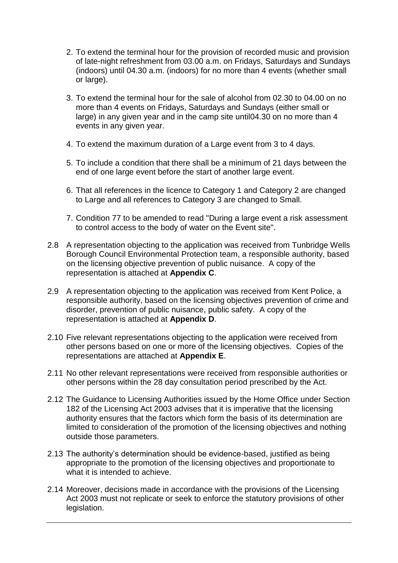- 2. To extend the terminal hour for the provision of recorded music and provision of late-night refreshment from 03.00 a.m. on Fridays, Saturdays and Sundays (indoors) until 04.30 a.m. (indoors) for no more than 4 events (whether small or large).
- 3. To extend the terminal hour for the sale of alcohol from 02.30 to 04.00 on no more than 4 events on Fridays, Saturdays and Sundays (either small or large) in any given year and in the camp site until04.30 on no more than 4 events in any given year.
- 4. To extend the maximum duration of a Large event from 3 to 4 days.
- 5. To include a condition that there shall be a minimum of 21 days between the end of one large event before the start of another large event.
- 6. That all references in the licence to Category 1 and Category 2 are changed to Large and all references to Category 3 are changed to Small.
- 7. Condition 77 to be amended to read "During a large event a risk assessment to control access to the body of water on the Event site".
- 2.8 A representation objecting to the application was received from Tunbridge Wells Borough Council Environmental Protection team, a responsible authority, based on the licensing objective prevention of public nuisance. A copy of the representation is attached at **Appendix C**.
- 2.9 A representation objecting to the application was received from Kent Police, a responsible authority, based on the licensing objectives prevention of crime and disorder, prevention of public nuisance, public safety. A copy of the representation is attached at **Appendix D**.
- 2.10 Five relevant representations objecting to the application were received from other persons based on one or more of the licensing objectives. Copies of the representations are attached at **Appendix E**.
- 2.11 No other relevant representations were received from responsible authorities or other persons within the 28 day consultation period prescribed by the Act.
- 2.12 The Guidance to Licensing Authorities issued by the Home Office under Section 182 of the Licensing Act 2003 advises that it is imperative that the licensing authority ensures that the factors which form the basis of its determination are limited to consideration of the promotion of the licensing objectives and nothing outside those parameters.
- 2.13 The authority's determination should be evidence-based, justified as being appropriate to the promotion of the licensing objectives and proportionate to what it is intended to achieve.
- 2.14 Moreover, decisions made in accordance with the provisions of the Licensing Act 2003 must not replicate or seek to enforce the statutory provisions of other legislation.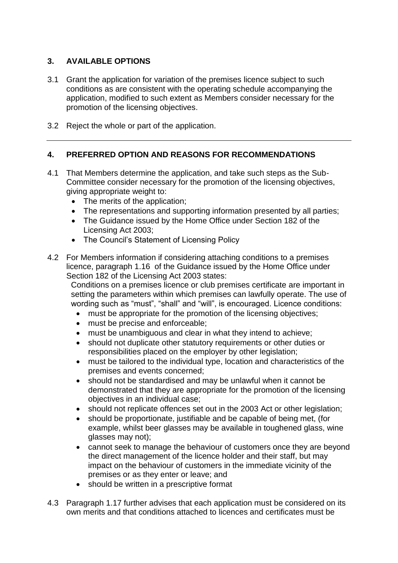#### **3. AVAILABLE OPTIONS**

- 3.1 Grant the application for variation of the premises licence subject to such conditions as are consistent with the operating schedule accompanying the application, modified to such extent as Members consider necessary for the promotion of the licensing objectives.
- 3.2 Reject the whole or part of the application.

#### **4. PREFERRED OPTION AND REASONS FOR RECOMMENDATIONS**

- 4.1 That Members determine the application, and take such steps as the Sub-Committee consider necessary for the promotion of the licensing objectives, giving appropriate weight to:
	- The merits of the application;
	- The representations and supporting information presented by all parties;
	- The Guidance issued by the Home Office under Section 182 of the Licensing Act 2003;
	- The Council's Statement of Licensing Policy
- 4.2 For Members information if considering attaching conditions to a premises licence, paragraph 1.16 of the Guidance issued by the Home Office under Section 182 of the Licensing Act 2003 states:

Conditions on a premises licence or club premises certificate are important in setting the parameters within which premises can lawfully operate. The use of wording such as "must", "shall" and "will", is encouraged. Licence conditions:

- must be appropriate for the promotion of the licensing objectives;
- must be precise and enforceable;
- must be unambiguous and clear in what they intend to achieve;
- should not duplicate other statutory requirements or other duties or responsibilities placed on the employer by other legislation;
- must be tailored to the individual type, location and characteristics of the premises and events concerned;
- should not be standardised and may be unlawful when it cannot be demonstrated that they are appropriate for the promotion of the licensing objectives in an individual case;
- should not replicate offences set out in the 2003 Act or other legislation;
- should be proportionate, justifiable and be capable of being met, (for example, whilst beer glasses may be available in toughened glass, wine glasses may not);
- cannot seek to manage the behaviour of customers once they are beyond the direct management of the licence holder and their staff, but may impact on the behaviour of customers in the immediate vicinity of the premises or as they enter or leave; and
- should be written in a prescriptive format
- 4.3 Paragraph 1.17 further advises that each application must be considered on its own merits and that conditions attached to licences and certificates must be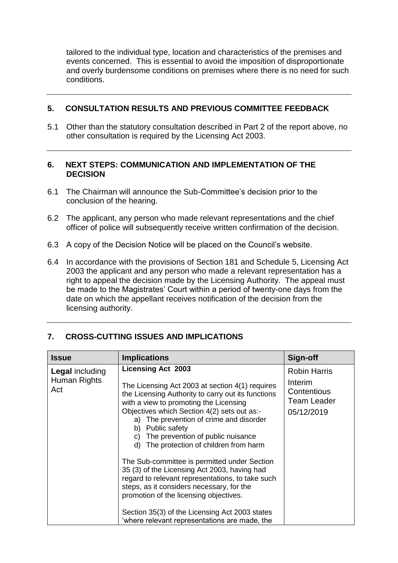tailored to the individual type, location and characteristics of the premises and events concerned. This is essential to avoid the imposition of disproportionate and overly burdensome conditions on premises where there is no need for such conditions.

#### **5. CONSULTATION RESULTS AND PREVIOUS COMMITTEE FEEDBACK**

5.1 Other than the statutory consultation described in Part 2 of the report above, no other consultation is required by the Licensing Act 2003.

#### **6. NEXT STEPS: COMMUNICATION AND IMPLEMENTATION OF THE DECISION**

- 6.1 The Chairman will announce the Sub-Committee's decision prior to the conclusion of the hearing.
- 6.2 The applicant, any person who made relevant representations and the chief officer of police will subsequently receive written confirmation of the decision.
- 6.3 A copy of the Decision Notice will be placed on the Council's website.
- 6.4 In accordance with the provisions of Section 181 and Schedule 5, Licensing Act 2003 the applicant and any person who made a relevant representation has a right to appeal the decision made by the Licensing Authority. The appeal must be made to the Magistrates' Court within a period of twenty-one days from the date on which the appellant receives notification of the decision from the licensing authority.

| <b>Issue</b>                                  | <b>Implications</b>                                                                                                                                                                                                                                                                                                                                                                                                                                                                                                                                                                                                                                                                                                            | Sign-off                                                                          |
|-----------------------------------------------|--------------------------------------------------------------------------------------------------------------------------------------------------------------------------------------------------------------------------------------------------------------------------------------------------------------------------------------------------------------------------------------------------------------------------------------------------------------------------------------------------------------------------------------------------------------------------------------------------------------------------------------------------------------------------------------------------------------------------------|-----------------------------------------------------------------------------------|
| <b>Legal including</b><br>Human Rights<br>Act | <b>Licensing Act 2003</b><br>The Licensing Act 2003 at section 4(1) requires<br>the Licensing Authority to carry out its functions<br>with a view to promoting the Licensing<br>Objectives which Section 4(2) sets out as:-<br>a) The prevention of crime and disorder<br>b) Public safety<br>The prevention of public nuisance<br>C)<br>d) The protection of children from harm<br>The Sub-committee is permitted under Section<br>35 (3) of the Licensing Act 2003, having had<br>regard to relevant representations, to take such<br>steps, as it considers necessary, for the<br>promotion of the licensing objectives.<br>Section 35(3) of the Licensing Act 2003 states<br>'where relevant representations are made, the | <b>Robin Harris</b><br>Interim<br>Contentious<br><b>Team Leader</b><br>05/12/2019 |

#### **7. CROSS-CUTTING ISSUES AND IMPLICATIONS**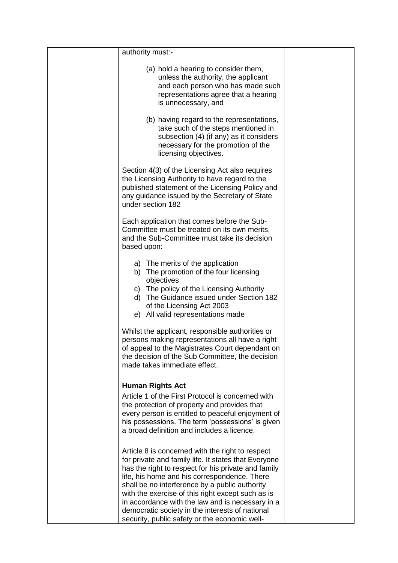| authority must:-                                                                                                                                                                                                                                                                                                                                                                                                                                                               |  |
|--------------------------------------------------------------------------------------------------------------------------------------------------------------------------------------------------------------------------------------------------------------------------------------------------------------------------------------------------------------------------------------------------------------------------------------------------------------------------------|--|
| (a) hold a hearing to consider them,<br>unless the authority, the applicant<br>and each person who has made such<br>representations agree that a hearing<br>is unnecessary, and                                                                                                                                                                                                                                                                                                |  |
| (b) having regard to the representations,<br>take such of the steps mentioned in<br>subsection (4) (if any) as it considers<br>necessary for the promotion of the<br>licensing objectives.                                                                                                                                                                                                                                                                                     |  |
| Section 4(3) of the Licensing Act also requires<br>the Licensing Authority to have regard to the<br>published statement of the Licensing Policy and<br>any guidance issued by the Secretary of State<br>under section 182                                                                                                                                                                                                                                                      |  |
| Each application that comes before the Sub-<br>Committee must be treated on its own merits,<br>and the Sub-Committee must take its decision<br>based upon:                                                                                                                                                                                                                                                                                                                     |  |
| a) The merits of the application<br>b) The promotion of the four licensing<br>objectives<br>c) The policy of the Licensing Authority<br>d) The Guidance issued under Section 182<br>of the Licensing Act 2003<br>e) All valid representations made                                                                                                                                                                                                                             |  |
| Whilst the applicant, responsible authorities or<br>persons making representations all have a right<br>of appeal to the Magistrates Court dependant on<br>the decision of the Sub Committee, the decision<br>made takes immediate effect.                                                                                                                                                                                                                                      |  |
| <b>Human Rights Act</b><br>Article 1 of the First Protocol is concerned with<br>the protection of property and provides that<br>every person is entitled to peaceful enjoyment of<br>his possessions. The term 'possessions' is given<br>a broad definition and includes a licence.                                                                                                                                                                                            |  |
| Article 8 is concerned with the right to respect<br>for private and family life. It states that Everyone<br>has the right to respect for his private and family<br>life, his home and his correspondence. There<br>shall be no interference by a public authority<br>with the exercise of this right except such as is<br>in accordance with the law and is necessary in a<br>democratic society in the interests of national<br>security, public safety or the economic well- |  |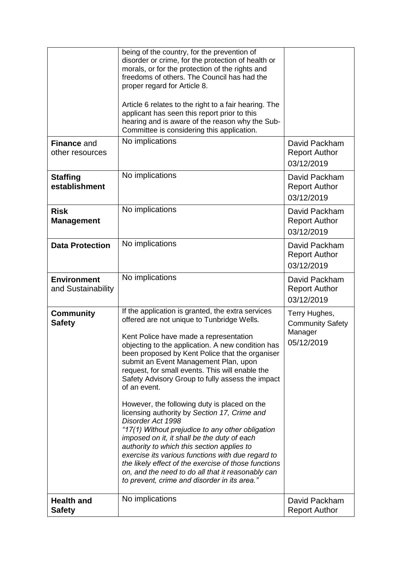|                                          | being of the country, for the prevention of<br>disorder or crime, for the protection of health or<br>morals, or for the protection of the rights and<br>freedoms of others. The Council has had the<br>proper regard for Article 8.<br>Article 6 relates to the right to a fair hearing. The<br>applicant has seen this report prior to this<br>hearing and is aware of the reason why the Sub-<br>Committee is considering this application.                                                                                                                                                                                                                                                                                                                                                                                                                                                             |                                                                   |
|------------------------------------------|-----------------------------------------------------------------------------------------------------------------------------------------------------------------------------------------------------------------------------------------------------------------------------------------------------------------------------------------------------------------------------------------------------------------------------------------------------------------------------------------------------------------------------------------------------------------------------------------------------------------------------------------------------------------------------------------------------------------------------------------------------------------------------------------------------------------------------------------------------------------------------------------------------------|-------------------------------------------------------------------|
| <b>Finance and</b><br>other resources    | No implications                                                                                                                                                                                                                                                                                                                                                                                                                                                                                                                                                                                                                                                                                                                                                                                                                                                                                           | David Packham<br><b>Report Author</b><br>03/12/2019               |
| <b>Staffing</b><br>establishment         | No implications                                                                                                                                                                                                                                                                                                                                                                                                                                                                                                                                                                                                                                                                                                                                                                                                                                                                                           | David Packham<br><b>Report Author</b><br>03/12/2019               |
| <b>Risk</b><br><b>Management</b>         | No implications                                                                                                                                                                                                                                                                                                                                                                                                                                                                                                                                                                                                                                                                                                                                                                                                                                                                                           | David Packham<br><b>Report Author</b><br>03/12/2019               |
| <b>Data Protection</b>                   | No implications                                                                                                                                                                                                                                                                                                                                                                                                                                                                                                                                                                                                                                                                                                                                                                                                                                                                                           | David Packham<br><b>Report Author</b><br>03/12/2019               |
| <b>Environment</b><br>and Sustainability | No implications                                                                                                                                                                                                                                                                                                                                                                                                                                                                                                                                                                                                                                                                                                                                                                                                                                                                                           | David Packham<br><b>Report Author</b><br>03/12/2019               |
| <b>Community</b><br><b>Safety</b>        | If the application is granted, the extra services<br>offered are not unique to Tunbridge Wells.<br>Kent Police have made a representation<br>objecting to the application. A new condition has<br>been proposed by Kent Police that the organiser<br>submit an Event Management Plan, upon<br>request, for small events. This will enable the<br>Safety Advisory Group to fully assess the impact<br>of an event.<br>However, the following duty is placed on the<br>licensing authority by Section 17, Crime and<br>Disorder Act 1998<br>"17(1) Without prejudice to any other obligation<br>imposed on it, it shall be the duty of each<br>authority to which this section applies to<br>exercise its various functions with due regard to<br>the likely effect of the exercise of those functions<br>on, and the need to do all that it reasonably can<br>to prevent, crime and disorder in its area." | Terry Hughes,<br><b>Community Safety</b><br>Manager<br>05/12/2019 |
| <b>Health and</b><br><b>Safety</b>       | No implications                                                                                                                                                                                                                                                                                                                                                                                                                                                                                                                                                                                                                                                                                                                                                                                                                                                                                           | David Packham<br><b>Report Author</b>                             |